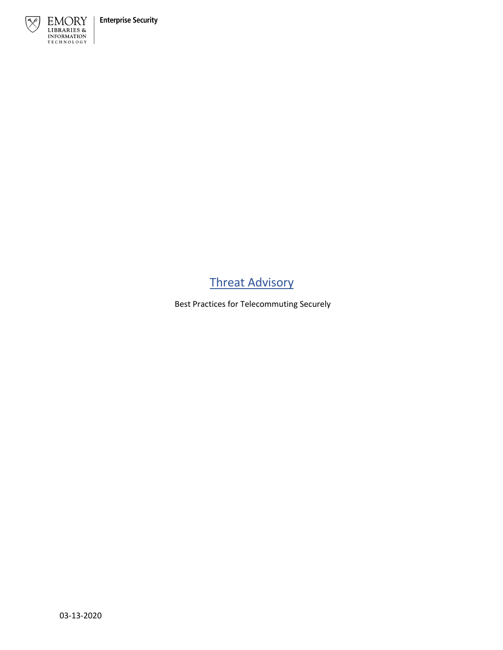

# Threat Advisory

Best Practices for Telecommuting Securely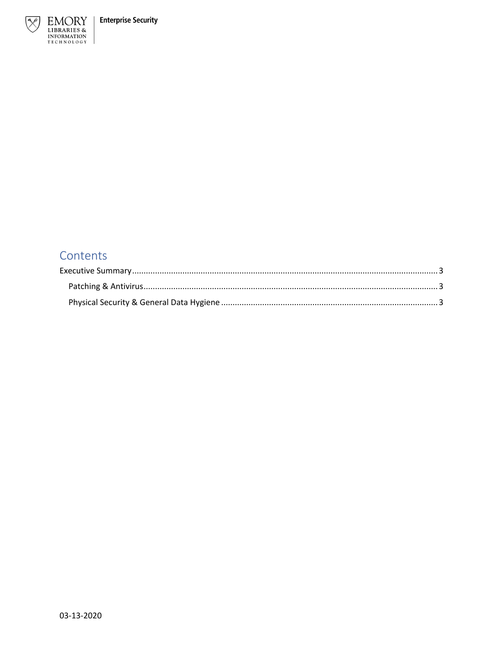

## Contents